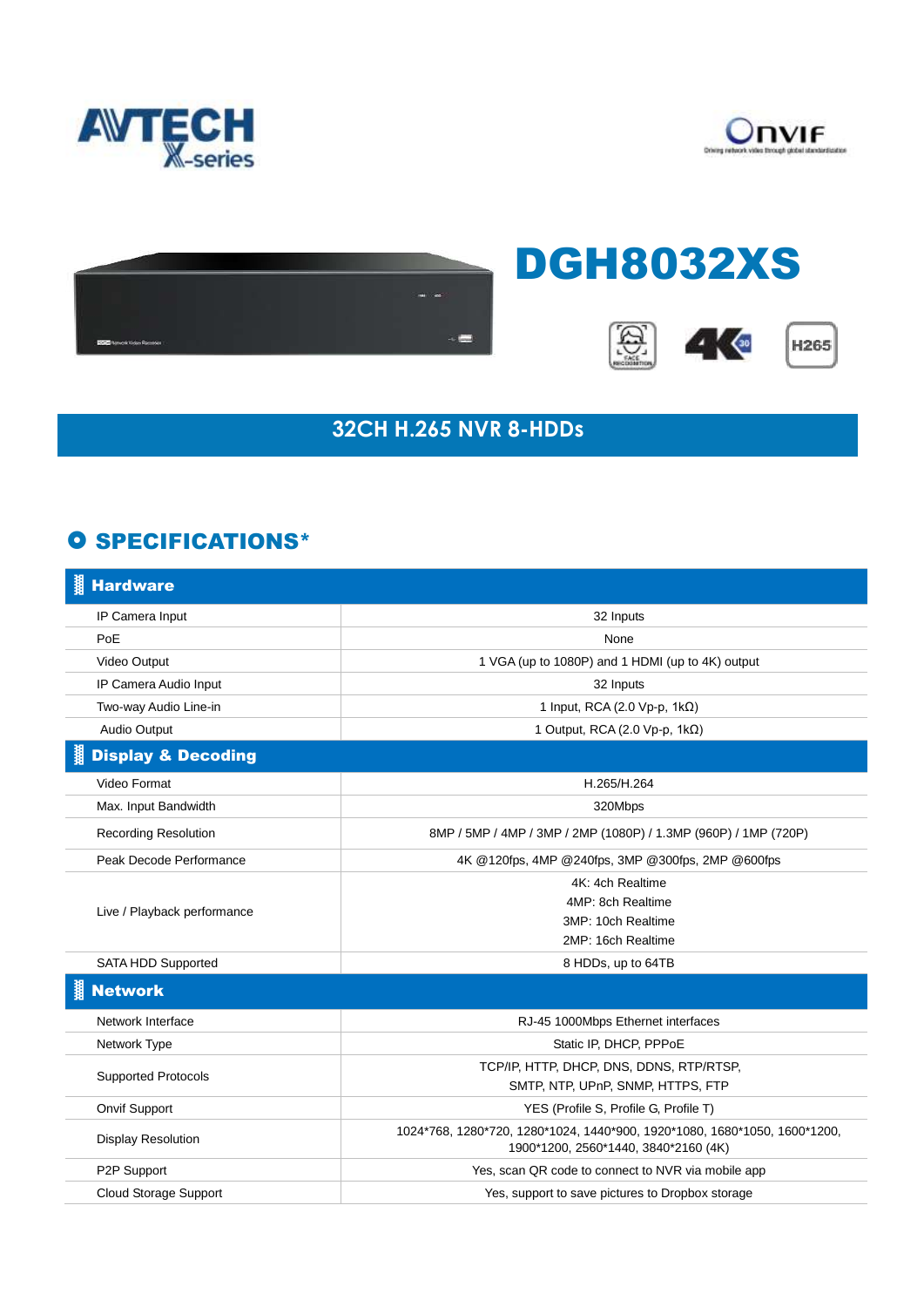





## **32CH H.265 NVR 8-HDDs**

## **O SPECIFICATIONS\***

| <b>Hardware</b>               |                                                                                                                   |
|-------------------------------|-------------------------------------------------------------------------------------------------------------------|
| IP Camera Input               | 32 Inputs                                                                                                         |
| PoE                           | None                                                                                                              |
| Video Output                  | 1 VGA (up to 1080P) and 1 HDMI (up to 4K) output                                                                  |
| IP Camera Audio Input         | 32 Inputs                                                                                                         |
| Two-way Audio Line-in         | 1 Input, RCA (2.0 Vp-p, 1kΩ)                                                                                      |
| Audio Output                  | 1 Output, RCA (2.0 Vp-p, 1kΩ)                                                                                     |
| <b>Display &amp; Decoding</b> |                                                                                                                   |
| Video Format                  | H.265/H.264                                                                                                       |
| Max. Input Bandwidth          | 320Mbps                                                                                                           |
| <b>Recording Resolution</b>   | 8MP / 5MP / 4MP / 3MP / 2MP (1080P) / 1.3MP (960P) / 1MP (720P)                                                   |
| Peak Decode Performance       | 4K @120fps, 4MP @240fps, 3MP @300fps, 2MP @600fps                                                                 |
| Live / Playback performance   | 4K: 4ch Realtime                                                                                                  |
|                               | 4MP: 8ch Realtime                                                                                                 |
|                               | 3MP: 10ch Realtime                                                                                                |
|                               | 2MP: 16ch Realtime                                                                                                |
| <b>SATA HDD Supported</b>     | 8 HDDs, up to 64TB                                                                                                |
| <b>Network</b>                |                                                                                                                   |
| Network Interface             | RJ-45 1000Mbps Ethernet interfaces                                                                                |
| Network Type                  | Static IP, DHCP, PPPoE                                                                                            |
| <b>Supported Protocols</b>    | TCP/IP, HTTP, DHCP, DNS, DDNS, RTP/RTSP,                                                                          |
|                               | SMTP, NTP, UPnP, SNMP, HTTPS, FTP                                                                                 |
| Onvif Support                 | YES (Profile S, Profile G, Profile T)                                                                             |
| <b>Display Resolution</b>     | 1024*768, 1280*720, 1280*1024, 1440*900, 1920*1080, 1680*1050, 1600*1200,<br>1900*1200, 2560*1440, 3840*2160 (4K) |
| P2P Support                   | Yes, scan QR code to connect to NVR via mobile app                                                                |
| Cloud Storage Support         | Yes, support to save pictures to Dropbox storage                                                                  |
|                               |                                                                                                                   |